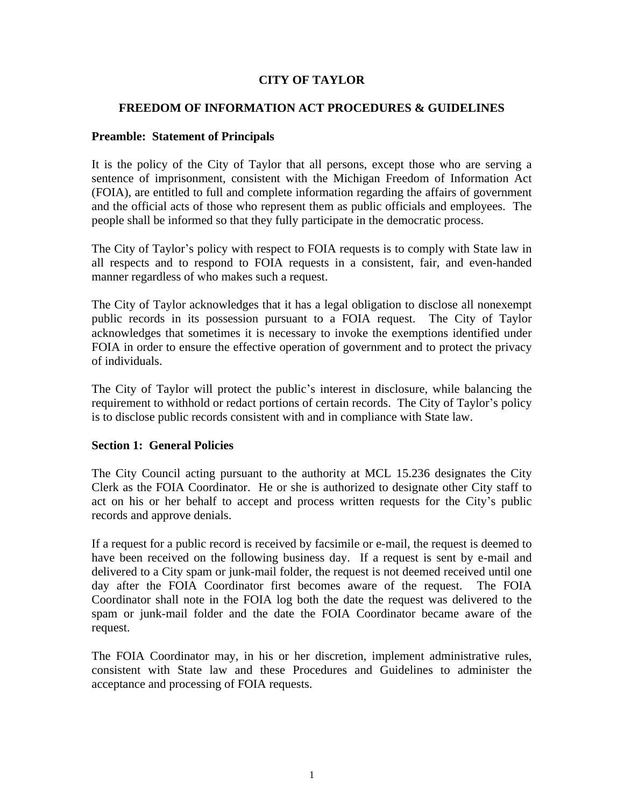### **CITY OF TAYLOR**

#### **FREEDOM OF INFORMATION ACT PROCEDURES & GUIDELINES**

#### **Preamble: Statement of Principals**

It is the policy of the City of Taylor that all persons, except those who are serving a sentence of imprisonment, consistent with the Michigan Freedom of Information Act (FOIA), are entitled to full and complete information regarding the affairs of government and the official acts of those who represent them as public officials and employees. The people shall be informed so that they fully participate in the democratic process.

The City of Taylor's policy with respect to FOIA requests is to comply with State law in all respects and to respond to FOIA requests in a consistent, fair, and even-handed manner regardless of who makes such a request.

The City of Taylor acknowledges that it has a legal obligation to disclose all nonexempt public records in its possession pursuant to a FOIA request. The City of Taylor acknowledges that sometimes it is necessary to invoke the exemptions identified under FOIA in order to ensure the effective operation of government and to protect the privacy of individuals.

The City of Taylor will protect the public's interest in disclosure, while balancing the requirement to withhold or redact portions of certain records. The City of Taylor's policy is to disclose public records consistent with and in compliance with State law.

#### **Section 1: General Policies**

The City Council acting pursuant to the authority at MCL 15.236 designates the City Clerk as the FOIA Coordinator. He or she is authorized to designate other City staff to act on his or her behalf to accept and process written requests for the City's public records and approve denials.

If a request for a public record is received by facsimile or e-mail, the request is deemed to have been received on the following business day. If a request is sent by e-mail and delivered to a City spam or junk-mail folder, the request is not deemed received until one day after the FOIA Coordinator first becomes aware of the request. The FOIA Coordinator shall note in the FOIA log both the date the request was delivered to the spam or junk-mail folder and the date the FOIA Coordinator became aware of the request.

The FOIA Coordinator may, in his or her discretion, implement administrative rules, consistent with State law and these Procedures and Guidelines to administer the acceptance and processing of FOIA requests.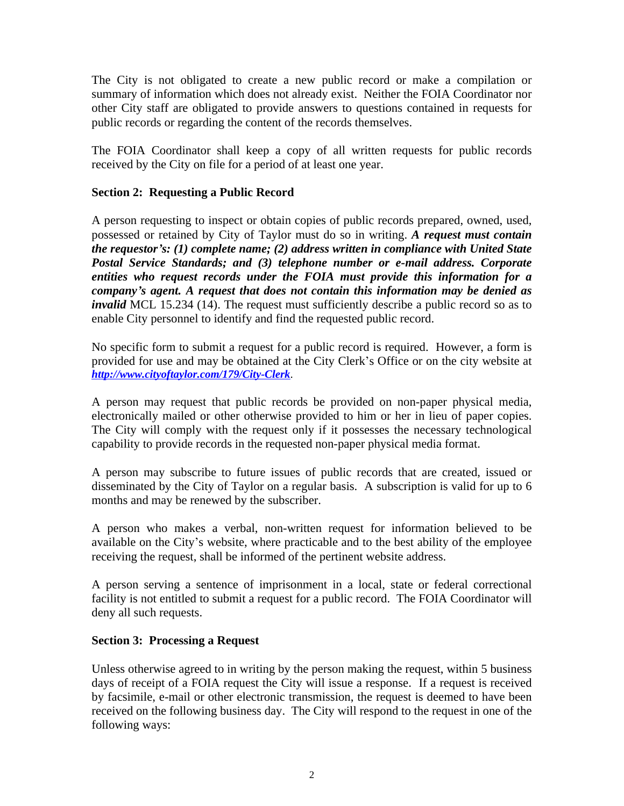The City is not obligated to create a new public record or make a compilation or summary of information which does not already exist. Neither the FOIA Coordinator nor other City staff are obligated to provide answers to questions contained in requests for public records or regarding the content of the records themselves.

The FOIA Coordinator shall keep a copy of all written requests for public records received by the City on file for a period of at least one year.

## **Section 2: Requesting a Public Record**

A person requesting to inspect or obtain copies of public records prepared, owned, used, possessed or retained by City of Taylor must do so in writing. *A request must contain the requestor's: (1) complete name; (2) address written in compliance with United State Postal Service Standards; and (3) telephone number or e-mail address. Corporate entities who request records under the FOIA must provide this information for a company's agent. A request that does not contain this information may be denied as invalid* MCL 15.234 (14). The request must sufficiently describe a public record so as to enable City personnel to identify and find the requested public record.

No specific form to submit a request for a public record is required. However, a form is provided for use and may be obtained at the City Clerk's Office or on the city website at *<http://www.cityoftaylor.com/179/City-Clerk>*.

A person may request that public records be provided on non-paper physical media, electronically mailed or other otherwise provided to him or her in lieu of paper copies. The City will comply with the request only if it possesses the necessary technological capability to provide records in the requested non-paper physical media format.

A person may subscribe to future issues of public records that are created, issued or disseminated by the City of Taylor on a regular basis. A subscription is valid for up to 6 months and may be renewed by the subscriber.

A person who makes a verbal, non-written request for information believed to be available on the City's website, where practicable and to the best ability of the employee receiving the request, shall be informed of the pertinent website address.

A person serving a sentence of imprisonment in a local, state or federal correctional facility is not entitled to submit a request for a public record. The FOIA Coordinator will deny all such requests.

#### **Section 3: Processing a Request**

Unless otherwise agreed to in writing by the person making the request, within 5 business days of receipt of a FOIA request the City will issue a response. If a request is received by facsimile, e-mail or other electronic transmission, the request is deemed to have been received on the following business day. The City will respond to the request in one of the following ways: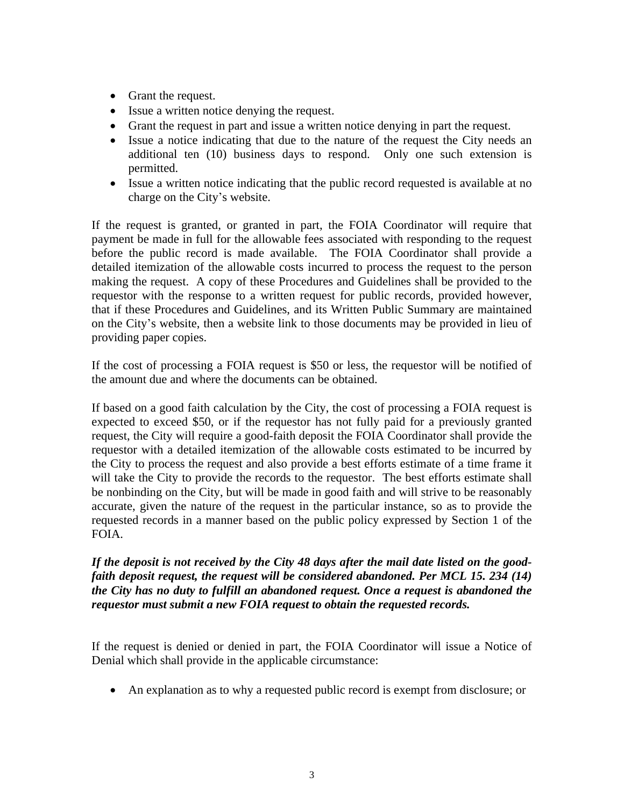- Grant the request.
- Issue a written notice denying the request.
- Grant the request in part and issue a written notice denying in part the request.
- Issue a notice indicating that due to the nature of the request the City needs an additional ten (10) business days to respond. Only one such extension is permitted.
- Issue a written notice indicating that the public record requested is available at no charge on the City's website.

If the request is granted, or granted in part, the FOIA Coordinator will require that payment be made in full for the allowable fees associated with responding to the request before the public record is made available. The FOIA Coordinator shall provide a detailed itemization of the allowable costs incurred to process the request to the person making the request. A copy of these Procedures and Guidelines shall be provided to the requestor with the response to a written request for public records, provided however, that if these Procedures and Guidelines, and its Written Public Summary are maintained on the City's website, then a website link to those documents may be provided in lieu of providing paper copies.

If the cost of processing a FOIA request is \$50 or less, the requestor will be notified of the amount due and where the documents can be obtained.

If based on a good faith calculation by the City, the cost of processing a FOIA request is expected to exceed \$50, or if the requestor has not fully paid for a previously granted request, the City will require a good-faith deposit the FOIA Coordinator shall provide the requestor with a detailed itemization of the allowable costs estimated to be incurred by the City to process the request and also provide a best efforts estimate of a time frame it will take the City to provide the records to the requestor. The best efforts estimate shall be nonbinding on the City, but will be made in good faith and will strive to be reasonably accurate, given the nature of the request in the particular instance, so as to provide the requested records in a manner based on the public policy expressed by Section 1 of the FOIA.

## *If the deposit is not received by the City 48 days after the mail date listed on the goodfaith deposit request, the request will be considered abandoned. Per MCL 15. 234 (14) the City has no duty to fulfill an abandoned request. Once a request is abandoned the requestor must submit a new FOIA request to obtain the requested records.*

If the request is denied or denied in part, the FOIA Coordinator will issue a Notice of Denial which shall provide in the applicable circumstance:

An explanation as to why a requested public record is exempt from disclosure; or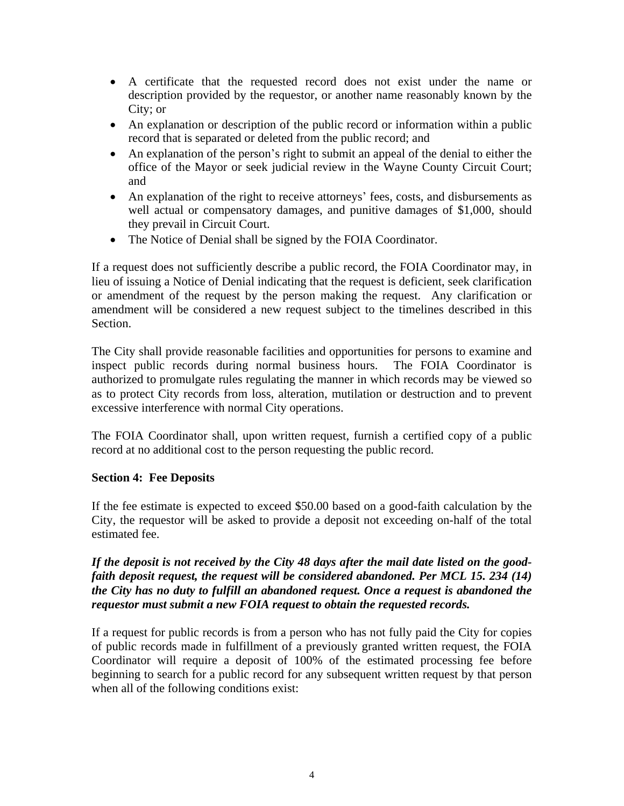- A certificate that the requested record does not exist under the name or description provided by the requestor, or another name reasonably known by the City; or
- An explanation or description of the public record or information within a public record that is separated or deleted from the public record; and
- An explanation of the person's right to submit an appeal of the denial to either the office of the Mayor or seek judicial review in the Wayne County Circuit Court; and
- An explanation of the right to receive attorneys' fees, costs, and disbursements as well actual or compensatory damages, and punitive damages of \$1,000, should they prevail in Circuit Court.
- The Notice of Denial shall be signed by the FOIA Coordinator.

If a request does not sufficiently describe a public record, the FOIA Coordinator may, in lieu of issuing a Notice of Denial indicating that the request is deficient, seek clarification or amendment of the request by the person making the request. Any clarification or amendment will be considered a new request subject to the timelines described in this Section.

The City shall provide reasonable facilities and opportunities for persons to examine and inspect public records during normal business hours. The FOIA Coordinator is authorized to promulgate rules regulating the manner in which records may be viewed so as to protect City records from loss, alteration, mutilation or destruction and to prevent excessive interference with normal City operations.

The FOIA Coordinator shall, upon written request, furnish a certified copy of a public record at no additional cost to the person requesting the public record.

#### **Section 4: Fee Deposits**

If the fee estimate is expected to exceed \$50.00 based on a good-faith calculation by the City, the requestor will be asked to provide a deposit not exceeding on-half of the total estimated fee.

## *If the deposit is not received by the City 48 days after the mail date listed on the goodfaith deposit request, the request will be considered abandoned. Per MCL 15. 234 (14) the City has no duty to fulfill an abandoned request. Once a request is abandoned the requestor must submit a new FOIA request to obtain the requested records.*

If a request for public records is from a person who has not fully paid the City for copies of public records made in fulfillment of a previously granted written request, the FOIA Coordinator will require a deposit of 100% of the estimated processing fee before beginning to search for a public record for any subsequent written request by that person when all of the following conditions exist: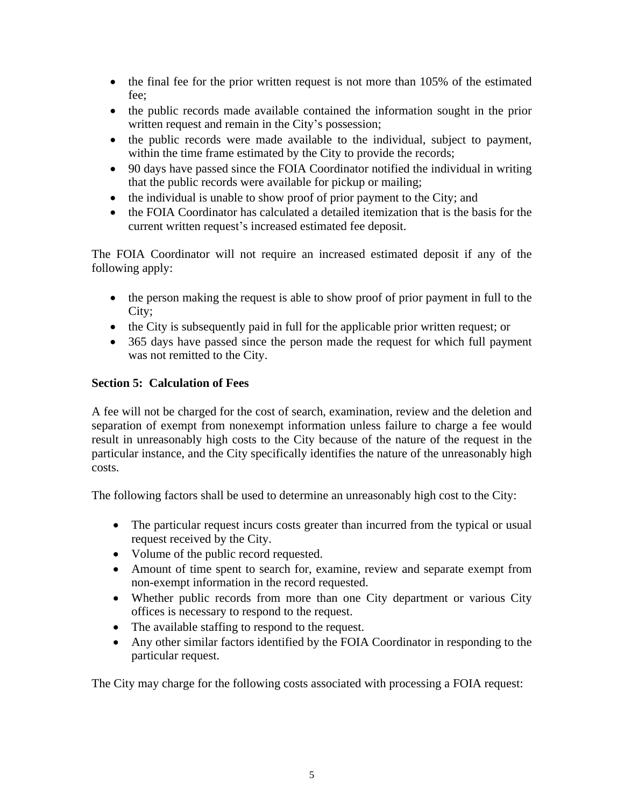- $\bullet$  the final fee for the prior written request is not more than 105% of the estimated fee;
- the public records made available contained the information sought in the prior written request and remain in the City's possession;
- the public records were made available to the individual, subject to payment, within the time frame estimated by the City to provide the records;
- 90 days have passed since the FOIA Coordinator notified the individual in writing that the public records were available for pickup or mailing;
- the individual is unable to show proof of prior payment to the City; and
- the FOIA Coordinator has calculated a detailed itemization that is the basis for the current written request's increased estimated fee deposit.

The FOIA Coordinator will not require an increased estimated deposit if any of the following apply:

- the person making the request is able to show proof of prior payment in full to the City;
- the City is subsequently paid in full for the applicable prior written request; or
- 365 days have passed since the person made the request for which full payment was not remitted to the City.

## **Section 5: Calculation of Fees**

A fee will not be charged for the cost of search, examination, review and the deletion and separation of exempt from nonexempt information unless failure to charge a fee would result in unreasonably high costs to the City because of the nature of the request in the particular instance, and the City specifically identifies the nature of the unreasonably high costs.

The following factors shall be used to determine an unreasonably high cost to the City:

- The particular request incurs costs greater than incurred from the typical or usual request received by the City.
- Volume of the public record requested.
- Amount of time spent to search for, examine, review and separate exempt from non-exempt information in the record requested.
- Whether public records from more than one City department or various City offices is necessary to respond to the request.
- The available staffing to respond to the request.
- Any other similar factors identified by the FOIA Coordinator in responding to the particular request.

The City may charge for the following costs associated with processing a FOIA request: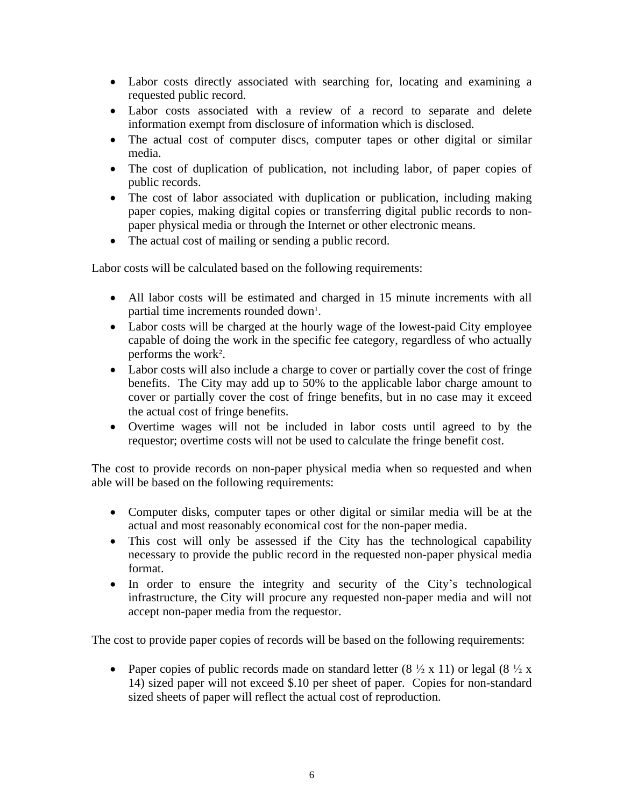- Labor costs directly associated with searching for, locating and examining a requested public record.
- Labor costs associated with a review of a record to separate and delete information exempt from disclosure of information which is disclosed.
- The actual cost of computer discs, computer tapes or other digital or similar media.
- The cost of duplication of publication, not including labor, of paper copies of public records.
- The cost of labor associated with duplication or publication, including making paper copies, making digital copies or transferring digital public records to nonpaper physical media or through the Internet or other electronic means.
- The actual cost of mailing or sending a public record.

Labor costs will be calculated based on the following requirements:

- All labor costs will be estimated and charged in 15 minute increments with all partial time increments rounded down<sup>1</sup>.
- Labor costs will be charged at the hourly wage of the lowest-paid City employee capable of doing the work in the specific fee category, regardless of who actually performs the work².
- Labor costs will also include a charge to cover or partially cover the cost of fringe benefits. The City may add up to 50% to the applicable labor charge amount to cover or partially cover the cost of fringe benefits, but in no case may it exceed the actual cost of fringe benefits.
- Overtime wages will not be included in labor costs until agreed to by the requestor; overtime costs will not be used to calculate the fringe benefit cost.

The cost to provide records on non-paper physical media when so requested and when able will be based on the following requirements:

- Computer disks, computer tapes or other digital or similar media will be at the actual and most reasonably economical cost for the non-paper media.
- This cost will only be assessed if the City has the technological capability necessary to provide the public record in the requested non-paper physical media format.
- In order to ensure the integrity and security of the City's technological infrastructure, the City will procure any requested non-paper media and will not accept non-paper media from the requestor.

The cost to provide paper copies of records will be based on the following requirements:

• Paper copies of public records made on standard letter  $(8 \frac{1}{2} \times 11)$  or legal  $(8 \frac{1}{2} \times$ 14) sized paper will not exceed \$.10 per sheet of paper. Copies for non-standard sized sheets of paper will reflect the actual cost of reproduction.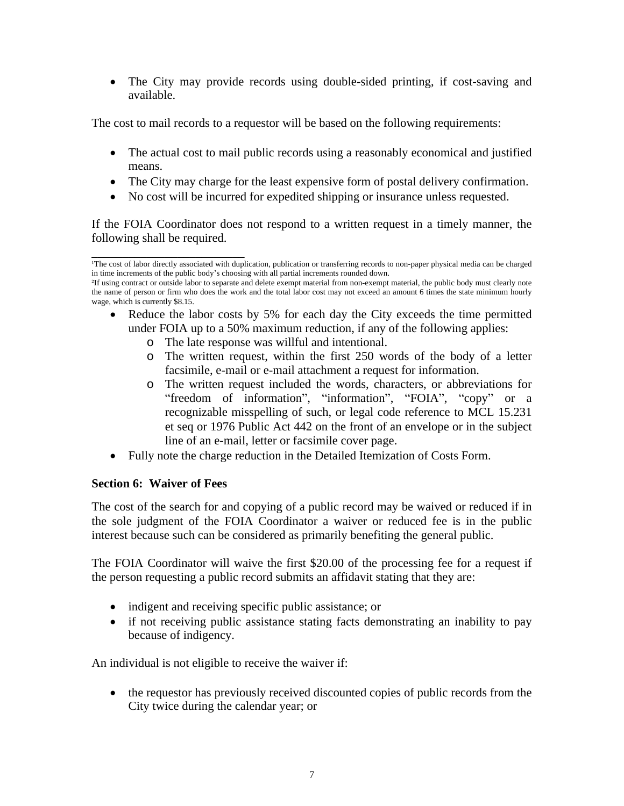The City may provide records using double-sided printing, if cost-saving and available.

The cost to mail records to a requestor will be based on the following requirements:

- The actual cost to mail public records using a reasonably economical and justified means.
- The City may charge for the least expensive form of postal delivery confirmation.
- No cost will be incurred for expedited shipping or insurance unless requested.

If the FOIA Coordinator does not respond to a written request in a timely manner, the following shall be required.

- Reduce the labor costs by 5% for each day the City exceeds the time permitted under FOIA up to a 50% maximum reduction, if any of the following applies:
	- o The late response was willful and intentional.
	- o The written request, within the first 250 words of the body of a letter facsimile, e-mail or e-mail attachment a request for information.
	- o The written request included the words, characters, or abbreviations for "freedom of information", "information", "FOIA", "copy" or a recognizable misspelling of such, or legal code reference to MCL 15.231 et seq or 1976 Public Act 442 on the front of an envelope or in the subject line of an e-mail, letter or facsimile cover page.
- Fully note the charge reduction in the Detailed Itemization of Costs Form.

# **Section 6: Waiver of Fees**

The cost of the search for and copying of a public record may be waived or reduced if in the sole judgment of the FOIA Coordinator a waiver or reduced fee is in the public interest because such can be considered as primarily benefiting the general public.

The FOIA Coordinator will waive the first \$20.00 of the processing fee for a request if the person requesting a public record submits an affidavit stating that they are:

- indigent and receiving specific public assistance; or
- if not receiving public assistance stating facts demonstrating an inability to pay because of indigency.

An individual is not eligible to receive the waiver if:

• the requestor has previously received discounted copies of public records from the City twice during the calendar year; or

\_\_\_\_\_\_\_\_\_\_\_\_\_\_\_\_\_\_\_\_\_\_\_\_\_ The cost of labor directly associated with duplication, publication or transferring records to non-paper physical media can be charged in time increments of the public body's choosing with all partial increments rounded down.

²If using contract or outside labor to separate and delete exempt material from non-exempt material, the public body must clearly note the name of person or firm who does the work and the total labor cost may not exceed an amount 6 times the state minimum hourly wage, which is currently \$8.15.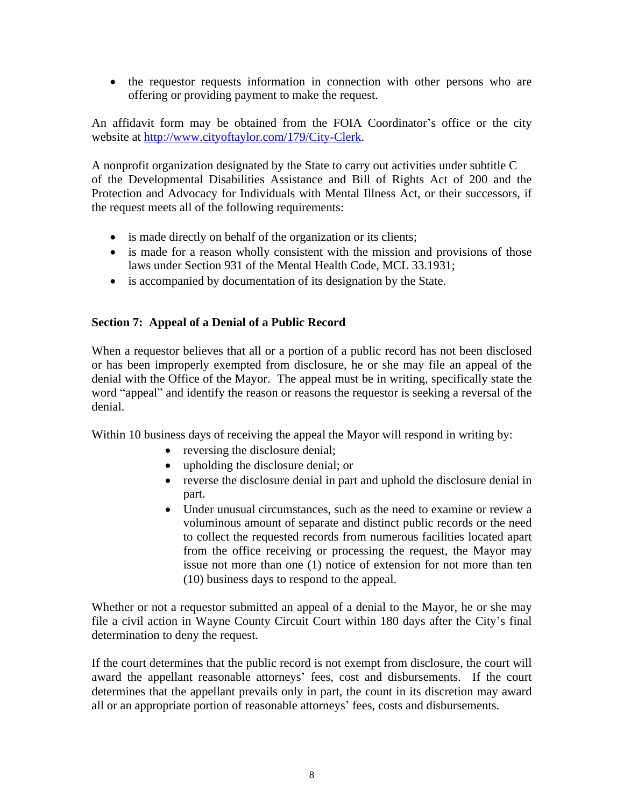• the requestor requests information in connection with other persons who are offering or providing payment to make the request.

An affidavit form may be obtained from the FOIA Coordinator's office or the city website at [http://www.cityoftaylor.com/179/City-Clerk.](http://www.cityoftaylor.com/179/City-Clerk)

A nonprofit organization designated by the State to carry out activities under subtitle C of the Developmental Disabilities Assistance and Bill of Rights Act of 200 and the Protection and Advocacy for Individuals with Mental Illness Act, or their successors, if the request meets all of the following requirements:

- is made directly on behalf of the organization or its clients;
- is made for a reason wholly consistent with the mission and provisions of those laws under Section 931 of the Mental Health Code, MCL 33.1931;
- is accompanied by documentation of its designation by the State.

## **Section 7: Appeal of a Denial of a Public Record**

When a requestor believes that all or a portion of a public record has not been disclosed or has been improperly exempted from disclosure, he or she may file an appeal of the denial with the Office of the Mayor. The appeal must be in writing, specifically state the word "appeal" and identify the reason or reasons the requestor is seeking a reversal of the denial.

Within 10 business days of receiving the appeal the Mayor will respond in writing by:

- reversing the disclosure denial;
- upholding the disclosure denial; or
- reverse the disclosure denial in part and uphold the disclosure denial in part.
- Under unusual circumstances, such as the need to examine or review a voluminous amount of separate and distinct public records or the need to collect the requested records from numerous facilities located apart from the office receiving or processing the request, the Mayor may issue not more than one (1) notice of extension for not more than ten (10) business days to respond to the appeal.

Whether or not a requestor submitted an appeal of a denial to the Mayor, he or she may file a civil action in Wayne County Circuit Court within 180 days after the City's final determination to deny the request.

If the court determines that the public record is not exempt from disclosure, the court will award the appellant reasonable attorneys' fees, cost and disbursements. If the court determines that the appellant prevails only in part, the count in its discretion may award all or an appropriate portion of reasonable attorneys' fees, costs and disbursements.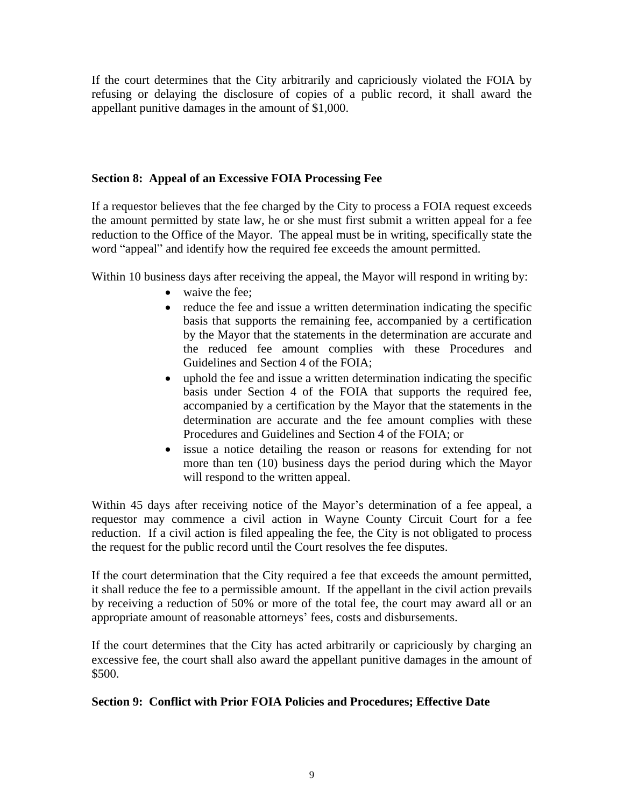If the court determines that the City arbitrarily and capriciously violated the FOIA by refusing or delaying the disclosure of copies of a public record, it shall award the appellant punitive damages in the amount of \$1,000.

## **Section 8: Appeal of an Excessive FOIA Processing Fee**

If a requestor believes that the fee charged by the City to process a FOIA request exceeds the amount permitted by state law, he or she must first submit a written appeal for a fee reduction to the Office of the Mayor. The appeal must be in writing, specifically state the word "appeal" and identify how the required fee exceeds the amount permitted.

Within 10 business days after receiving the appeal, the Mayor will respond in writing by:

- waive the fee:
- reduce the fee and issue a written determination indicating the specific basis that supports the remaining fee, accompanied by a certification by the Mayor that the statements in the determination are accurate and the reduced fee amount complies with these Procedures and Guidelines and Section 4 of the FOIA;
- uphold the fee and issue a written determination indicating the specific basis under Section 4 of the FOIA that supports the required fee, accompanied by a certification by the Mayor that the statements in the determination are accurate and the fee amount complies with these Procedures and Guidelines and Section 4 of the FOIA; or
- issue a notice detailing the reason or reasons for extending for not more than ten (10) business days the period during which the Mayor will respond to the written appeal.

Within 45 days after receiving notice of the Mayor's determination of a fee appeal, a requestor may commence a civil action in Wayne County Circuit Court for a fee reduction. If a civil action is filed appealing the fee, the City is not obligated to process the request for the public record until the Court resolves the fee disputes.

If the court determination that the City required a fee that exceeds the amount permitted, it shall reduce the fee to a permissible amount. If the appellant in the civil action prevails by receiving a reduction of 50% or more of the total fee, the court may award all or an appropriate amount of reasonable attorneys' fees, costs and disbursements.

If the court determines that the City has acted arbitrarily or capriciously by charging an excessive fee, the court shall also award the appellant punitive damages in the amount of \$500.

# **Section 9: Conflict with Prior FOIA Policies and Procedures; Effective Date**